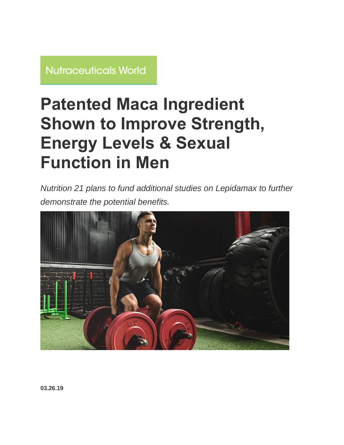## **Nutraceuticals World**

## **Patented Maca Ingredient Shown to Improve Strength, Energy Levels & Sexual Function in Men**

*Nutrition 21 plans to fund additional studies on Lepidamax to further demonstrate the potential benefits.*



**03.26.19**